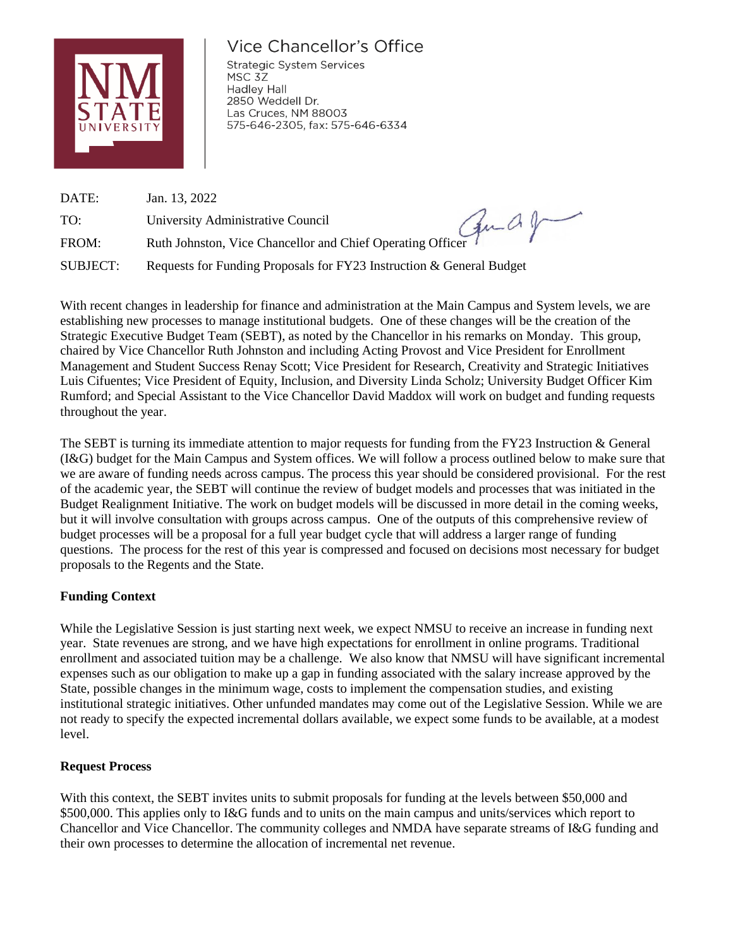

# Vice Chancellor's Office

**Strategic System Services** MSC 3Z **Hadley Hall** 2850 Weddell Dr. Las Cruces, NM 88003 575-646-2305, fax: 575-646-6334

DATE: Jan. 13, 2022 TO: University Administrative Council TO: University Administrative Council<br>FROM: Ruth Johnston, Vice Chancellor and Chief Operating Officer SUBJECT: Requests for Funding Proposals for FY23 Instruction & General Budget

With recent changes in leadership for finance and administration at the Main Campus and System levels, we are establishing new processes to manage institutional budgets. One of these changes will be the creation of the Strategic Executive Budget Team (SEBT), as noted by the Chancellor in his remarks on Monday. This group, chaired by Vice Chancellor Ruth Johnston and including Acting Provost and Vice President for Enrollment Management and Student Success Renay Scott; Vice President for Research, Creativity and Strategic Initiatives Luis Cifuentes; Vice President of Equity, Inclusion, and Diversity Linda Scholz; University Budget Officer Kim Rumford; and Special Assistant to the Vice Chancellor David Maddox will work on budget and funding requests throughout the year.

The SEBT is turning its immediate attention to major requests for funding from the FY23 Instruction & General (I&G) budget for the Main Campus and System offices. We will follow a process outlined below to make sure that we are aware of funding needs across campus. The process this year should be considered provisional. For the rest of the academic year, the SEBT will continue the review of budget models and processes that was initiated in the Budget Realignment Initiative. The work on budget models will be discussed in more detail in the coming weeks, but it will involve consultation with groups across campus. One of the outputs of this comprehensive review of budget processes will be a proposal for a full year budget cycle that will address a larger range of funding questions. The process for the rest of this year is compressed and focused on decisions most necessary for budget proposals to the Regents and the State.

# **Funding Context**

While the Legislative Session is just starting next week, we expect NMSU to receive an increase in funding next year. State revenues are strong, and we have high expectations for enrollment in online programs. Traditional enrollment and associated tuition may be a challenge. We also know that NMSU will have significant incremental expenses such as our obligation to make up a gap in funding associated with the salary increase approved by the State, possible changes in the minimum wage, costs to implement the compensation studies, and existing institutional strategic initiatives. Other unfunded mandates may come out of the Legislative Session. While we are not ready to specify the expected incremental dollars available, we expect some funds to be available, at a modest level.

# **Request Process**

With this context, the SEBT invites units to submit proposals for funding at the levels between \$50,000 and \$500,000. This applies only to I&G funds and to units on the main campus and units/services which report to Chancellor and Vice Chancellor. The community colleges and NMDA have separate streams of I&G funding and their own processes to determine the allocation of incremental net revenue.